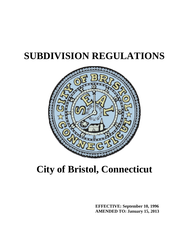# **SUBDIVISION REGULATIONS**



## **City of Bristol, Connecticut**

**EFFECTIVE: September 10, 1996 AMENDED TO: January 15, 2013**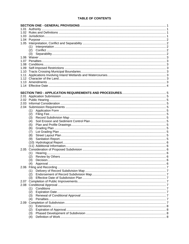### **TABLE OF CONTENTS**

|      | (1) |  |  |  |  |  |
|------|-----|--|--|--|--|--|
|      | (2) |  |  |  |  |  |
|      | (3) |  |  |  |  |  |
|      |     |  |  |  |  |  |
|      |     |  |  |  |  |  |
|      |     |  |  |  |  |  |
|      |     |  |  |  |  |  |
|      |     |  |  |  |  |  |
|      |     |  |  |  |  |  |
|      |     |  |  |  |  |  |
|      |     |  |  |  |  |  |
|      |     |  |  |  |  |  |
|      |     |  |  |  |  |  |
|      |     |  |  |  |  |  |
|      |     |  |  |  |  |  |
|      |     |  |  |  |  |  |
|      |     |  |  |  |  |  |
|      | (1) |  |  |  |  |  |
|      | (2) |  |  |  |  |  |
|      | (3) |  |  |  |  |  |
|      | (4) |  |  |  |  |  |
|      | (5) |  |  |  |  |  |
|      | (6) |  |  |  |  |  |
|      | (7) |  |  |  |  |  |
|      | (8) |  |  |  |  |  |
|      | (9) |  |  |  |  |  |
|      |     |  |  |  |  |  |
|      |     |  |  |  |  |  |
|      |     |  |  |  |  |  |
|      | (1) |  |  |  |  |  |
|      | (2) |  |  |  |  |  |
|      | (3) |  |  |  |  |  |
|      | (4) |  |  |  |  |  |
|      | (1) |  |  |  |  |  |
|      | (2) |  |  |  |  |  |
|      | (3) |  |  |  |  |  |
|      |     |  |  |  |  |  |
|      |     |  |  |  |  |  |
|      | (1) |  |  |  |  |  |
|      | (2) |  |  |  |  |  |
|      | (3) |  |  |  |  |  |
|      | (4) |  |  |  |  |  |
| 2.09 |     |  |  |  |  |  |
|      | (1) |  |  |  |  |  |
|      | (2) |  |  |  |  |  |
|      | (3) |  |  |  |  |  |
|      | (4) |  |  |  |  |  |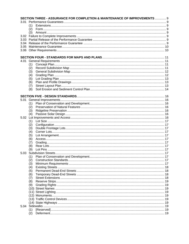|      |            | SECTION THREE - ASSURANCE FOR COMPLETION & MAINTENANCE OF IMPROVEMENTS  9 |  |  |  |  |  |  |
|------|------------|---------------------------------------------------------------------------|--|--|--|--|--|--|
| 3.01 |            |                                                                           |  |  |  |  |  |  |
|      | (1)        |                                                                           |  |  |  |  |  |  |
|      | (2)        |                                                                           |  |  |  |  |  |  |
|      | (3)        |                                                                           |  |  |  |  |  |  |
|      |            |                                                                           |  |  |  |  |  |  |
|      |            |                                                                           |  |  |  |  |  |  |
|      |            |                                                                           |  |  |  |  |  |  |
|      |            |                                                                           |  |  |  |  |  |  |
|      |            |                                                                           |  |  |  |  |  |  |
|      |            |                                                                           |  |  |  |  |  |  |
| 4.01 |            |                                                                           |  |  |  |  |  |  |
|      | (1)        |                                                                           |  |  |  |  |  |  |
|      | (2)        |                                                                           |  |  |  |  |  |  |
|      | (3)        |                                                                           |  |  |  |  |  |  |
|      | (4)        |                                                                           |  |  |  |  |  |  |
|      | (5)        |                                                                           |  |  |  |  |  |  |
|      | (6)        |                                                                           |  |  |  |  |  |  |
|      | (7)        |                                                                           |  |  |  |  |  |  |
|      | (8)        |                                                                           |  |  |  |  |  |  |
|      |            |                                                                           |  |  |  |  |  |  |
|      |            |                                                                           |  |  |  |  |  |  |
| 5.01 |            |                                                                           |  |  |  |  |  |  |
|      | (1)        |                                                                           |  |  |  |  |  |  |
|      | (2)        |                                                                           |  |  |  |  |  |  |
|      | (3)        |                                                                           |  |  |  |  |  |  |
|      | (4)        |                                                                           |  |  |  |  |  |  |
|      |            |                                                                           |  |  |  |  |  |  |
|      | (1)        |                                                                           |  |  |  |  |  |  |
|      | (2)        |                                                                           |  |  |  |  |  |  |
|      | (3)        |                                                                           |  |  |  |  |  |  |
|      | (4)        |                                                                           |  |  |  |  |  |  |
|      | (5)        |                                                                           |  |  |  |  |  |  |
|      | (6)        |                                                                           |  |  |  |  |  |  |
|      | (7)        |                                                                           |  |  |  |  |  |  |
|      | (8)        |                                                                           |  |  |  |  |  |  |
|      | (9)        |                                                                           |  |  |  |  |  |  |
|      |            |                                                                           |  |  |  |  |  |  |
|      | (1)        |                                                                           |  |  |  |  |  |  |
|      | (2)        |                                                                           |  |  |  |  |  |  |
|      | (3)        |                                                                           |  |  |  |  |  |  |
|      | (4)        |                                                                           |  |  |  |  |  |  |
|      | (5)<br>(6) |                                                                           |  |  |  |  |  |  |
|      | (7)        |                                                                           |  |  |  |  |  |  |
|      | (8)        |                                                                           |  |  |  |  |  |  |
|      | (9)        |                                                                           |  |  |  |  |  |  |
|      |            |                                                                           |  |  |  |  |  |  |
|      |            |                                                                           |  |  |  |  |  |  |
|      |            |                                                                           |  |  |  |  |  |  |
|      |            |                                                                           |  |  |  |  |  |  |
|      |            |                                                                           |  |  |  |  |  |  |
| 5.04 |            |                                                                           |  |  |  |  |  |  |
|      | (1)        |                                                                           |  |  |  |  |  |  |
|      | (2)        |                                                                           |  |  |  |  |  |  |
|      |            |                                                                           |  |  |  |  |  |  |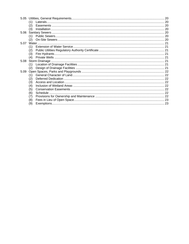|      | (1) |  |
|------|-----|--|
|      | (2) |  |
|      | (3) |  |
| 5.06 |     |  |
|      | (1) |  |
|      | (2) |  |
| 5.07 |     |  |
|      | (1) |  |
|      | (2) |  |
|      | (3) |  |
|      | (4) |  |
| 5.08 |     |  |
|      | (1) |  |
|      | (2) |  |
| 5.09 |     |  |
|      | (1) |  |
|      | (2) |  |
|      | (3) |  |
|      | (4) |  |
|      | (5) |  |
|      | (6) |  |
|      | (7) |  |
|      | (8) |  |
|      | (9) |  |
|      |     |  |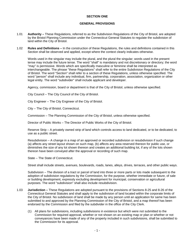#### **SECTION ONE**

#### **GENERAL PROVISIONS**

- <span id="page-4-0"></span>1.01 **Authority –** These Regulations, referred to as the Subdivision Regulations of the City of Bristol, are adopted by the Bristol Planning Commission under the Connecticut General Statutes to regulate the subdivision of land within the City of Bristol.
- 1.02 **Rules and Definitions** In the construction of these Regulations, the rules and definitions contained in this Section shall be observed and applied, except where the context clearly indicates otherwise.

Words used in the singular may include the plural, and the plural the singular; words used in the present tense may include the future tense. The word "shall" is mandatory and not discretionary or directory; the word "may" is permissive. Words which are specifically masculine or feminine shall be interpreted as interchangeable. The phrase "these Regulations" shall refer to the entire Subdivision Regulations of the City of Bristol. The word "Section" shall refer to a section of these Regulations, unless otherwise specified. The word "person" shall include any individual, firm, partnership, corporation, association, organization or other legal entity. The word "subdivider" shall include applicant and developer.

Agency, commission, board or department is that of the City of Bristol, unless otherwise specified.

City Council – The City Council of the City of Bristol.

City Engineer – The City Engineer of the City of Bristol.

City – The City of Bristol, Connecticut.

Commission – The Planning Commission of the City of Bristol, unless otherwise specified.

Director of Public Works – The Director of Public Works of the City of Bristol.

Reserve Strip – A privately owned strip of land which controls access to land dedicated, or to be dedicated, to use as a public street.

Resubdivision – A change in a map of an approved or recorded subdivision or resubdivision if such change (a) affects any street layout shown on such map, (b) affects any area reserved thereon for public use, or diminishes the size of any lot shown thereon and creates an additional building lot, if any of the lots shown thereon have been conveyed after the approval or recording of such map.

State – The State of Connecticut.

Street shall include streets, avenues, boulevards, roads, lanes, alleys, drives, terraces, and other public ways.

Subdivision – The division of a tract or parcel of land into three or more parts or lots made subsequent to the adoption of subdivision regulations by the Commission, for the purpose, whether immediate or future, of sale or building development, expressly excluding development for municipal, conservation or agricultural purposes. The word "subdivision" shall also include resubdivision.

- 1.03 **Jurisdiction –** These Regulations are adopted pursuant to the provisions of Sections 8-25 and 8-26 of the Connecticut General Statutes and shall apply to the subdivision of land located within the corporate limits of the City of Bristol. No subdivision of land shall be made by any person until an application for same has been submitted to and approved by the Planning Commission of the City of Bristol, and a map thereof has been endorsed by the Commission and filed by the subdivider in the office of the City Clerk.
	- (1) All plans for subdivisions, including subdivisions in existence but which were not submitted to the Commission for required approval, whether or not shown on an existing map or plan or whether or not conveyances have been made of any of the property included in such subdivisions, shall be submitted to the Commission for its approval.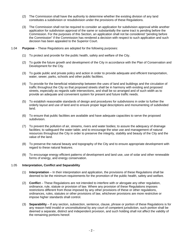- <span id="page-5-0"></span>(2) The Commission shall have the authority to determine whether the existing division of any land constitutes a subdivision or resubdivision under the provisions of these Regulations.
- (3) The Commission shall not be required to consider an application for subdivision approval while another application for subdivision approval of the same or substantially the same tract is pending before the Commission. For the purposes of this Section, an application shall not be considered "pending before the Commission" if the Commission has rendered a decision with respect to such application and such decision has been appealed to the Superior Court.
- 1.04 **Purpose** These Regulations are adopted for the following purposes:
	- (1) To protect and provide for the public health, safety and welfare of the City.
	- (2) To guide the future growth and development of the City in accordance with the Plan of Conservation and Development for the City.
	- (3) To guide public and private policy and action in order to provide adequate and efficient transportation, water, sewer, parks, schools and other public facilities.
	- (4) To provide for the beneficial relationship between the uses of land and buildings and the circulation of traffic throughout the City so that proposed streets shall be in harmony with existing and proposed streets, especially as regards safe intersections, and shall be so arranged and of such width as to provide an adequate and convenient system for present and future traffic needs.
	- (5) To establish reasonable standards of design and procedures for subdivisions in order to further the orderly layout and use of land and to ensure proper legal descriptions and monumenting of subdivided land.
	- (6) To ensure that public facilities are available and have adequate capacities to serve the proposed subdivision.
	- (7) To prevent the pollution of air, streams, rivers and water bodies; to assure the adequacy of drainage facilities; to safeguard the water table; and to encourage the wise use and management of natural resources throughout the City in order to preserve the integrity, stability and beauty of the City and the value of the land.
	- (8) To preserve the natural beauty and topography of the City and to ensure appropriate development with regard to these natural features.
	- (9) To encourage energy efficient patterns of development and land use, use of solar and other renewable forms of energy, and energy conservation.

#### 1.05 **Interpretation, Conflict and Separability**

- (1) **Interpretation** In their interpretation and application, the provisions of these Regulations shall be deemed to be the minimum requirements for the promotion of the public health, safety and welfare.
- (2) **Conflict** These Regulations are not intended to interfere with or abrogate any other regulation, ordinance, rule, statute or provision of law. Where any provision of these Regulations imposes restrictions different from those imposed by any other provisions of these or other regulations, ordinances, rules, statutes or other provisions of law, whichever provisions are more restrictive or impose higher standards shall control.
- (3) **Separability** If any section, subsection, sentence, clause, phrase or portion of these Regulations is for any reason held invalid or unconstitutional by any court of competent jurisdiction, such portion shall be deemed a separate, distinct and independent provision, and such holding shall not affect the validity of the remaining portions hereof.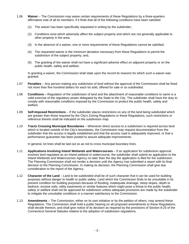- <span id="page-6-0"></span>1.06 **Waiver** – The Commission may waive certain requirements of these Regulations by a three-quarters affirmative vote of all its members, if it finds that all of the following conditions have been satisfied:
	- (1) The waiver has been specifically requested in writing by the subdivider;
	- (2) Conditions exist which adversely affect the subject property and which are not generally applicable to other property in the area;
	- (3) In the absence of a waiver, one or more requirements of these Regulations cannot be satisfied;
	- (4) The requested waiver is the minimum deviation necessary from these Regulations to permit the subdivision of the subject property; and,
	- (5) The granting of the waiver shall not have a significant adverse effect on adjacent property or on the public health, safety and welfare.

In granting a waiver, the Commission shall state upon the record its reasons for which such a waiver was granted.

- 1.07 **Penalties** Any person making any subdivision of land without the approval of the Commission shall be fined not more than five hundred dollars for each lot sold, offered for sale or so subdivided.
- 1.08 **Conditions** Regulation of the subdivision of land and the attachment of reasonable conditions to same is a valid exercise of the regulatory power delegated by the State to the City. The subdivider shall have the duty to comply with reasonable conditions imposed by the Commission to protect the public health, safety and welfare.
- 1.09 **Self-Imposed Restrictions** If the subdivider places restrictions on any of the land being subdivided which are greater than those required by the City's Zoning Regulations or these Regulations, such restrictions or reference thereto shall be indicated on the subdivision map.
- 1.10 **Tracts Crossing Municipal Boundaries** Whenever direct access to a subdivision is required across land which is located outside of the City's boundaries, the Commission may request documentation from the subdivider that the access is legally established and that the access road is adequately improved, or that a performance guarantee has been posted to assure adequate improvements.

In general, lot lines shall be laid out so as not to cross municipal boundary lines.

- 1.11 **Applications Involving Inland Wetlands and Watercourses** If an application for subdivision approval involves land regulated as an inland wetland or watercourse, the subdivider shall submit an application to the Inland Wetlands and Watercourses Agency no later than the day the application is filed for the subdivision. The Planning Commission shall not render a decision until the Agency has submitted a report with its final decision to the Planning Commission. In making its decision, the Planning Commission shall give due consideration to the report of the Agency.
- 1.12 **Character of the Land** Land to be subdivided shall be of such character that it can be used for building purposes without danger to health or public safety. Land which the Commission finds to be unsuitable in its present condition for building purposes because of flooding, inadequate drainage, steep slopes, depth to bedrock, erosive soils, utility easements or similar features which might pose a threat to the public health, safety or welfare shall not be approved for subdivision unless adequate provisions are made by the subdivider to mitigate the unsuitable conditions in a manner satisfactory to the Commission.
- 1.13 **Amendments** The Commission, either on its own initiative or by the petition of others, may amend these Regulations. The Commission shall hold a public hearing on all proposed amendments to these Regulations, shall decide thereon, and shall give notice of its decision as required by the provisions of Section 8-25 of the Connecticut General Statutes relative to the adoption of subdivision regulations.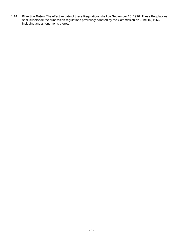<span id="page-7-0"></span>1.14 **Effective Date** – The effective date of these Regulations shall be September 10, 1996. These Regulations shall supersede the subdivision regulations previously adopted by the Commission on June 15, 1966, including any amendments thereto.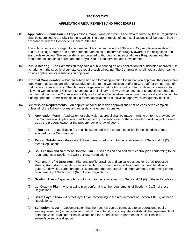#### **SECTION TWO**

#### **APPLICATION REQUIREMENTS AND PROCEDURES**

<span id="page-8-0"></span>2.01 **Application Submission** – All applications, maps, plans, documents and data required by these Regulations shall be submitted to the City Planner's Office. The date of receipt of such applications shall be determined in accordance with the Connecticut General Statutes.

The subdivider is encouraged to become familiar iin advance with all State and City regulations relative to health, buildings, streets and other pertinent data so as to become thoroughly aware of the obligations and standards expected. The subdivider is encouraged to thoroughly understand these Regulations and the requirements contained herein and the City's Plan of Conservation and Development.

- 2.02 **Public Hearing** The Commission may hold a public hearing on any application for subdivision approval if, in its judgment, the specific circumstances require such a hearing. The Commission shall hold a public hearing on any application for resubdivision approval.
- 2.03 **Informal Consideration** Prior to submission of a formal application for subdivision approval, the prospective subdivider may submit an informal subdivision plan to the Commission and/or to City staff for the purpose of preliminary discussion only. The plan may be general in nature but should contain sufficient information to allow the Commission or City staff to conduct a preliminary review. Any comments or suggestions regarding the informal plan by the Commission or City staff shall not be construed as a form of approval and shall not be binding upon the Commission should a formal application for subdivision approval subsequently be filed.
- 2.04 **Submission Requirements** An application for subdivision approval shall not be considered complete unless all of the following plans and other data have been submitted:
	- (1) **Application Form** Application for subdivision approval shall be made in writing on forms provided by the Commission. Applications shall be signed by the subdivider or the subdivider's lawful agent, as well as by the property owner or the property owner's lawful agent.
	- (2) **Filing Fee** An application fee shall be submitted in the amount specified in the schedule of fees adopted by the Commission.
	- (3) **Record Subdivision Map** A subdivision map conforming to the requirements of Section 4.01.(2) of these Regulations.
	- (4) **Soil Erosion and Sediment Control Plan**  A soil erosion and sediment control plan conforming to the requirements of Section 4.01.(8) of these Regulations.
	- (5) **Plan and Profile Drawings** Plan and profile drawings and typical cross-sections of all proposed streets, storm drains, sanitary sewers, catch basins, manholes, ditches, watercourses, headwalls, gutters, sidewalks, curbs, bridges, culverts and other structures and improvements, conforming to the requirements of Section 4.01.(6) of these Regulations.
	- (6) **Grading Plan** A grading plan conforming to the requirements of Section 4.01.(4) of these Regulations.
	- (7) **Lot Grading Plan** A lot grading plan conforming to the requirements of Section 4.01.(5) of these Regulations.
	- (8) **Street Layout Plan** A street layout plan conforming to the requirements of Section 4.01.(7) of these Regulations.
	- (9) **Sanitation Report** Documentation that the tract: (a) can be connected to an operational public sanitary sewer, or (b) has suitable physical characteristics to adequately satisfy all the requirements of both the Bristol-Burlington Health District and the Connecticut Department of Public Health for subsurface sewage disposal.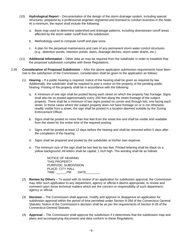- <span id="page-9-0"></span>(10) **Hydrological Report** – Documentation of the design of the storm drainage system, including special structures, prepared by a professional engineer registered and licensed to conduct business in the State. At a minimum, the report shall include the following:
	- a. Base map used to determine watershed and drainage patterns, including downstream runoff areas affected by the storm water runoff from the subdivision.
	- b. Methodology used to compute runoff and pipe sizes.
	- c. A plan for the perpetual maintenance and care of any permanent storm water control structures (e.g., detention ponds, retention ponds, dams, drainage ditches, storm water drains, etc.).
- (11) **Additional Information** Other data as may be required from the subdivider in order to establish that the proposed subdivision complies with these Regulations.
- 2.05 **Consideration of Proposed Subdivision** After the above application submission requirements have been met to the satisfaction of the Commission, consideration shall be given to the application as follows:
	- (1) **Hearing** If a public hearing is required, notice of the hearing shall be given as required by law. Additionally, the subdivider shall be required to post a notice on the property of the pending public hearing. Posting of the property shall be in accordance with the following:
		- a. A minimum of one sign shall be posted facing each street on which the property has frontage. Signs shall also be so posted approximately every 200 feet along the street frontage of the subject property. There shall be a minimum of two signs posted on corner and through lots, one facing each street. In those cases where the subject property does not have frontage on or is not otherwise readily visible from a street, the sign shall be posted in a location deemed suitable by the Zoning Enforcement Officer.
		- b. Signs shall be posted no more than five feet from the street line and shall be visible and readable from the street for the entire time of the required posting.
		- c. Signs shall be posted at least 12 days before the hearing and shall be removed within 5 days after the completion of the hearing.
		- d. Signs shall be prepared and posted by the subdivider at his/her own expense.
		- e. The minimum size of the sign shall be two feet by two feet. Printed lettering shall be black on a yellow background. All letters shall be capital, 1 inch high. The wording shall be as follows:

NOTICE OF HEARING THIS PROPERTY PURPOSE: SUBDIVISION PLACE: CITY HALL TIME: PM DATE

- (2) **Review by Others** To assist with its review of an application for subdivision approval, the Commission may refer such application to any department, agency or official it deems appropriate, to review and comment upon those technical matters which are the concern or responsibility of such department, agency or official.
- (3) **Decision** The Commission shall approve, modify and approve or disapprove an application for subdivision approval within the period of time permitted under Section 8-26d of the Connecticut General Statutes. Notice of the Commission's decision shall be as per the requirements of Section 8-26 of the Connecticut General Statutes.
- (4) **Approval** The Commission shall approve the subdivision if it determines that the subdivision map and plans and accompanying documents and data conform to these Regulations.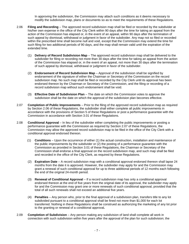In approving the subdivision, the Commission may attach such conditions as it deems necessary to modify the subdivision map, plans or documents so as to meet the requirements of these Regulations.

- <span id="page-10-0"></span>2.06 **Filing and Recording** – The approved record subdivision map shall be filed or recorded by the subdivider at his/her own expense in the office of the City Clerk within 90 days after the time for taking an appeal from the action of the Commission has elapsed or, in the event of an appeal, within 90 days after the termination of such appeal by dismissal, withdrawal or judgment in favor of the subdivider. Any map not so filed or recorded within the prescribed time shall become null and void, except that the Commission may extend the time for such filing for two additional periods of 90 days, and the map shall remain valid until the expiration of the extended time.
	- (1) **Delivery of Record Subdivision Map** The approved record subdivision map shall be delivered to the subdivider for filing or recording not more than 30 days after the time for taking an appeal from the action of the Commission has elapsed or, in the event of an appeal, not more than 30 days after the termination of such appeal by dismissal, withdrawal or judgment in favor of the subdivider.
	- (2) **Endorsement of Record Subdivision Map**  Approval of the subdivision shall be signified by endorsement of the signature of either the Chairman or Secretary of the Commission on the record subdivision map. No such map shall be filed or recorded by the City Clerk until its approval has been endorsed thereon by the Chairman or Secretary of the Commission, and the filing or recording of a record subdivision map without such endorsement shall be void.
	- (3) **Effective Date of Subdivision Plan**  The date on which the Commission votes to approve the subdivision shall be the date on which the approval of the subdivision plan becomes effective.
- 2.07 **Completion of Public Improvements**  Prior to the filing of the approved record subdivision map as required by Section 2.06 of these Regulations, the subdivider shall either complete all public improvements in accordance with the provisions of Section 5 of these Regulations or post a performance guarantee with the Commission in accordance with Section 3.01 of these Regulations.
- 2.08 **Conditional Approval** In lieu of the subdivider either completing the public improvements or posting a performance guarantee with the Commission as required by Section 2.07 of these Regulations, the Commission may allow the approved record subdivision map to be filed in the office of the City Clerk with a conditional approval endorsed thereon.
	- (1) **Conditions** Upon the occurrence of either (1) the actual construction, installation and maintenance of the public improvements by the subdivider or (2) the posting of a performance guarantee with the Commission as provided in Section 3.01 of these Regulations, the Chairman or Secretary of the Commission shall endorse a final approval on the record subdivision map, and such map shall be filed and recorded in the office of the City Clerk, as required by these Regulations.
	- (2) **Expiration Date** A record subdivision map with a conditional approval endorsed thereon shall lapse 24 months from the date it is approved. However, the subdivider may apply for and the Commission may grant a renewal of such conditional approval for up to three additional periods of 12 months each following the end of the original 24-month period.
	- (3) **Renewal of Conditional Approval** If a record subdivision map has only a conditional approval endorsed thereon at the end of five years from the original date of its approval, the subdivider may apply for and the Commission may grant one or more renewals of such conditional approval, provided that the total of all such renewals shall not exceed an additional five years.
	- (4) **Penalties** Any person who, prior to the final approval of a subdivision plan, transfers title to any lot subdivided pursuant to a conditional approval shall be fined not more than \$1,000 for each lot transferred. Nothing in these Regulations shall be construed as authorizing the marketing of any lot prior to the granting or renewal of a conditional approval**.**
- 2.09 **Completion of Subdivision** Any person making any subdivision of land shall complete all work in connection with such subdivision within five years after the approval of the plan for such subdivision; the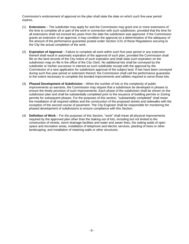<span id="page-11-0"></span>Commission's endorsement of approval on the plan shall state the date on which such five-year period expires.

- (1) **Extensions** The subdivider may apply for and the Commission may grant one or more extensions of the time to complete all or part of the work in connection with such subdivision, provided that the time for all extensions shall not exceed ten years from the date the subdivision was approved. If the Commission grants an extension of an approval, it may condition the approval on a determination of the adequacy of the amount of the performance guarantee posted under Section 3.01 of these Regulations securing to the City the actual completion of the work.
- (2) **Expiration of Approval** Failure to complete all work within such five-year period or any extension thereof shall result in automatic expiration of the approval of such plan, provided the Commission shall file on the land records of the City notice of such expiration and shall state such expiration on the subdivision map on file in the office of the City Clerk. No additional lots shall be conveyed by the subdivider or his/her successor in interest as such subdivider except with the approval by the Commission of a new application for subdivision approval of the subject land. If lots have been conveyed during such five-year period or extension thereof, the Commission shall call the performance guarantee to the extent necessary to complete the bonded improvements and utilities required to serve those lots.
- (3) **Phased Development of Subdivision** When the number of lots or the complexity of public improvements so warrants, the Commission may require that a subdivision be developed in phases to ensure the timely provision of such improvements. Each phase of the subdivision shall be shown on the subdivision plan and shall be substantially completed prior to the issuance of building permits or Zoning permits for subsequent phases. For the purposes of this section, "substantially completed" shall mean the installation of all required utilities and the construction of the proposed streets and sidewalks with the exception of the second course of pavement. The City Engineer shall be responsible for monitoring the phased development of subdivisions to ensure compliance with this Section.
- (4) **Definition of Work** For the purposes of this Section, "work" shall mean all physical improvements required by the approved plan other than the staking out of lots, including but not limited to the construction of streets, storm drainage facilities and water and sewer lines, the setting aside of open space and recreation areas, installation of telephone and electric services, planting of trees or other landscaping, and installation of retaining walls or other structures.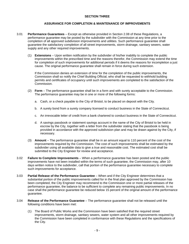#### **SECTION THREE**

#### **ASSURANCE FOR COMPLETION & MAINTENANCE OF IMPROVEMENTS**

- <span id="page-12-0"></span>3.01 **Performance Guarantees** – Except as otherwise provided in Section 2.08 of these Regulations, a performance guarantee may be posted by the subdivider with the Commission at any time prior to the completion of all approved subdivision improvements and utilities. Such performance guarantee shall guarantee the satisfactory completion of all street improvements, storm drainage, sanitary sewers, water supply and any other required improvements.
	- (1) **Extensions** Upon written notification by the subdivider of his/her inability to complete the public improvements within the prescribed time and the reasons therefor, the Commission may extend the time for completion of such improvements for additional periods if it deems the reasons for incompletion a just cause. The original performance guarantee shall remain in force during such extension.

If the Commission denies an extension of time for the completion of the public improvements, the Commission shall so notify the Chief Building Official, who shall be requested to withhold building permits and certificates of occupancy until such improvements are completed to the satisfaction of the Commission.

- (2) **Form** The performance guarantee shall be in a form and with surety acceptable to the Commission. The performance guarantee may be in one or more of the following forms:
	- a. Cash, or a check payable to the City of Bristol, to be placed on deposit with the City.
	- b. A surety bond from a surety company licensed to conduct business in the State of Connecticut.
	- c. An irrevocable letter of credit from a bank chartered to conduct business in the State of Connecticut.
	- d. A savings passbook or statement savings account in the name of the City of Bristol to be held in escrow by the City, together with a letter from the subdivider stating that the passbook is being provided in accordance with the approved subdivision plan and may be drawn against by the City, if necessary.
- (3) **Amount** The performance guarantee shall be in an amount equal to 110 percent of the cost of the improvements required by the Commission. The cost of such improvements shall be estimated by the subdivider using all available data to give a true and reasonable cost. The estimated cost shall be submitted to the City Engineer for review and acceptance.
- 3.02 **Failure to Complete Improvements** When a performance guarantee has been posted and the public improvements have not been installed within the terms of such guarantee, the Commission may, after 10 days written notice to the subdivider, call that portion of the performance guarantee necessary to complete such improvements for acceptance.
- 3.03 **Partial Release of the Performance Guarantee**  When and if the City Engineer determines that a substantial portion of the public improvements called for in the final plan approved by the Commission has been completed, the City Engineer may recommend to the Commission one or more partial releases of the performance guarantee, the balance to be sufficient to complete any remaining public improvements. In no case shall the performance guarantee be reduced below 15 percent of the original amount of the performance guarantee.
- 3.04 **Release of the Performance Guarantee** The performance guarantee shall not be released until the following conditions have been met:
	- (1) The Board of Public Works and the Commission have been satisfied that the required street improvements, storm drainage, sanitary sewers, water system and all other improvements required by the Commission have been completed in conformance with these Regulations and the specifications of the City.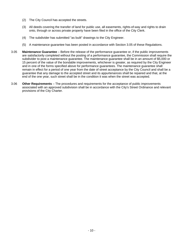- <span id="page-13-0"></span>(2) The City Council has accepted the streets.
- (3) All deeds covering the transfer of land for public use, all easements, rights-of-way and rights to drain onto, through or across private property have been filed in the office of the City Clerk.
- (4) The subdivider has submitted "as built" drawings to the City Engineer.
- (5) A maintenance guarantee has been posted in accordance with Section 3.05 of these Regulations.
- 3.05 **Maintenance Guarantee**  Before the release of the performance guarantee or, if the public improvements are satisfactorily completed without the posting of a performance guarantee, the Commission shall require the subdivider to post a maintenance guarantee. The maintenance guarantee shall be in an amount of \$5,000 or 15 percent of the value of the bondable improvements, whichever is greater, as required by the City Engineer and in one of the forms specified above for performance guarantees. The maintenance guarantee shall remain in effect for a period of one year from the date of street acceptance by the City Council and shall be a guarantee that any damage to the accepted street and its appurtenances shall be repaired and that, at the end of the one year, such street shall be in the condition it was when the street was accepted.
- 3.06 **Other Requirements** The procedures and requirements for the acceptance of public improvements associated with an approved subdivision shall be in accordance with the City's Street Ordinance and relevant provisions of the City Charter.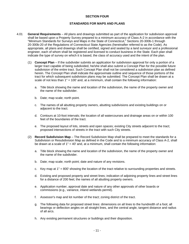#### **SECTION FOUR**

#### **STANDARDS FOR MAPS AND PLANS**

- <span id="page-14-0"></span>4.01 **General Requirements** – All plans and drawings submitted as part of the application for subdivision approval shall be based upon a Property Survey prepared to a minimum accuracy of Class A-2 in accordance with the "Minimum Standards for Surveys and Maps in the State of Connecticut," Sections 20-300b-1 through 20-300b-20 of the Regulations of Connecticut State Agencies (hereinafter referred to as the Code). As appropriate, all plans and drawings shall be certified, signed and sealed by a land surveyor and a professional engineer, each of whom shall be registered and licensed to conduct business in the State. Each plan shall indicate the type of survey on which it is based, the class of accuracy used and the intent of the plan.
	- (1) **Concept Plan** If the subdivider submits an application for subdivision approval for only a portion of a larger tract capable of being subdivided, he/she shall also submit a Concept Plan for the possible future subdivision of the entire tract. Such Concept Plan shall not be considered a subdivision plan as defined herein. The Concept Plan shall indicate the approximate outline and sequence of those portions of the tract for which subsequent subdivision plans may be submitted. The Concept Plan shall be drawn at a scale of not less than  $1" = 100'$  and, at a minimum, shall contain the following information:
		- a. Title block showing the name and location of the subdivision, the name of the property owner and the name of the subdivider.
		- b. Date; map scale; north point.
		- c. The names of all abutting property owners, abutting subdivisions and existing buildings on or adjacent to the tract.
		- d. Contours at 10-foot intervals; the location of all watercourses and drainage areas on or within 100 feet of the boundaries of the tract.
		- e. The proposed layout of lots, streets and open spaces; existing City streets adjacent to the tract; proposed intersections of streets in the tract with such City streets.
	- (2) **Record Subdivision Map** The Record Subdivision Map shall be prepared to meet the standards for a Subdivision or Resubdivision Map as defined in the Code and to a minimum accuracy of Class A-2, shall be drawn at a scale of 1" = 40' and, at a minimum, shall contain the following information:
		- a. Title block showing the name and location of the subdivision, the name of the property owner and the name of the subdivider.
		- b. Date; map scale; north point; date and nature of any revisions.
		- c. Key map at 1" = 800' showing the location of the tract relative to surrounding properties and streets.
		- d. Existing and proposed property and street lines; indication of adjoining property lines and street lines for a distance of 200 feet; the names of all abutting property owners.
		- e. Application number, approval date and nature of any other approvals of other boards or commissions (e.g., variance, inland wetlands permit).
		- f. Assessor's map and lot number of the tract; zoning district of the tract.
		- g. The following data for proposed street lines: dimensions on all lines to the hundredth of a foot; all bearings or deflection angles on all straight lines, and the central angle, tangent distance and radius of all arcs.
		- h. Any existing permanent structures or buildings and their disposition.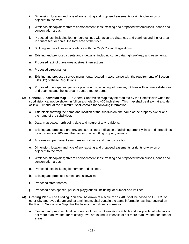- <span id="page-15-0"></span>i. Dimension, location and type of any existing and proposed easements or rights-of-way on or adjacent to the tract.
- j. Wetlands; floodplains; stream encroachment lines; existing and proposed watercourses, ponds and conservation areas.
- k. Proposed lots, including lot number, lot lines with accurate distances and bearings and the lot area in square feet or acres; the total area of the tract.
- l. Building setback lines in accordance with the City's Zoning Regulations.
- m. Existing and proposed streets and sidewalks, including curve data, rights-of-way and easements.
- n. Proposed radii of curvatures at street intersections.
- o. Proposed street names.
- p. Existing and proposed survey monuments, located in accordance with the requirements of Section 5.03.(12) of these Regulations.
- q. Proposed open spaces, parks or playgrounds, including lot number, lot lines with accurate distances and bearings and the lot area in square feet or acres.
- (3) **General Subdivision Map** A General Subdivision Map may be required by the Commission when the subdivision cannot be shown in full on a single 24-by-36 inch sheet. This map shall be drawn at a scale of 1" = 100' and, at the minimum, shall contain the following information:
	- a. Title block showing the name and location of the subdivision, the name of the property owner and the name of the subdivider.
	- b. Date; map scale; north point; date and nature of any revisions.
	- c. Existing and proposed property and street lines; indication of adjoining property lines and street lines for a distance of 200 feet; the names of all abutting property owners.
	- d. Any existing permanent structures or buildings and their disposition.
	- e. Dimension, location and type of any existing and proposed easements or rights-of-way on or adjacent to the tract.
	- f. Wetlands; floodplains; stream encroachment lines; existing and proposed watercourses, ponds and conservation areas.
	- g. Proposed lots, including lot number and lot lines.
	- h. Existing and proposed streets and sidewalks.
	- i. Proposed street names.
	- j. Proposed open spaces, parks or playgrounds, including lot number and lot lines.
- (4) **Grading Plan** The Grading Plan shall be drawn at a scale of 1" = 40', shall be based on USCGS or other City-approved datum and, at a minimum, shall contain the same information as that required on the Record Subdivision Map plus the following additional information:
	- a. Existing and proposed final contours, including spot elevations at high and low points, at intervals of not more than two feet for relatively level areas and at intervals of not more than five feet for steeper areas.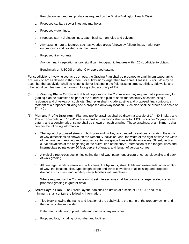- <span id="page-16-0"></span>b. Percolation test and test pit data as required by the Bristol-Burlington Health District.
- c. Proposed sanitary sewer lines and manholes.
- d. Proposed water lines.
- e. Proposed storm drainage lines, catch basins, manholes and culverts.
- f. Any existing natural features such as wooded areas (shown by foliage lines), major rock outcroppings and isolated specimen trees.
- g. Proposed fire hydrants.
- h. Any dominant vegetation and/or significant topographic features within 20 subdivider to obtain.
- i. Benchmark on USCGS or other City-approved datum.

For subdivisions involving two acres or less, the Grading Plan shall be prepared to a minimum topographic accuracy of T-2 as defined in the Code. For subdivisions larger than two acres, Classes T-3 or T-D may be used, but the subdivider shall be responsible for locating in the field existing streets, utilities, sidewalks and other significant feature to a minimum topographic accuracy of T-2.

- (5) **Lot Grading Plan** On lots with difficult topography, the Commission may require that a preliminary lot grading plan be submitted as part of the subdivision plan to show the feasibility of constructing a residence and driveway on such lots. Such plan shall include existing and proposed final contours, a footprint of a proposed building and a proposed driveway location. Such plan shall be drawn at a scale of  $1" = 40'.$
- (6) **Plan and Profile Drawings** Plan and profile drawings shall be drawn at a scale of 1" = 40' in plan, and 1" = 40' horizontal and 1" = 4' vertical in profile. Elevations shall refer to USCGS or other City-approved datum, and a benchmark of same shall be shown on each drawing. These drawings, at a minimum, shall contain the following information:
	- a. The layout of proposed streets in both plan and profile, coordinated by stations, indicating the rightof-way dimensions as shown on the Record Subdivision Map; the width of the right-of-way; the width of the pavement; existing and proposed center line grade lines with stations every 50 feet; vertical curve elevations at the beginning of the curve, end of the curve, intersection of the tangent lines and intermediate points every 50 feet; percent of grade; and length of vertical curves.
	- b. A typical street cross-section indicating right-of-way, pavement structure, curbs, sidewalks and backof-walk grading.
	- c. All drainage, sanitary sewer and utility lines, fire hydrants, street lights and easements; other rightsof-way; the location, size, type, length, slope and invert elevations of all existing and proposed drainage structures; and sanitary sewer facilities with manholes.

Where required by the Commission, street intersections shall be drawn at a larger scale, to show proposed grading in greater detail.

- (7) **Street Layout Plan** The Street Layout Plan shall be drawn at a scale of 1" = 100' and, at a minimum, shall contain the following information:
	- a. Title block showing the name and location of the subdivision, the name of the property owner and the name of the subdivider.
	- b. Date; map scale; north point; date and nature of any revisions.
	- c. Proposed lots, including lot number and lot lines.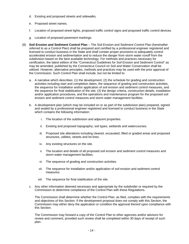- <span id="page-17-0"></span>d. Existing and proposed streets and sidewalks.
- e. Proposed street names.
- f. Location of proposed street lights, proposed traffic control signs and proposed traffic control devices.
- g. Location of proposed pavement markings.
- (8) **Soil Erosion and Sediment Control Plan** The Soil Erosion and Sediment Control Plan (hereinafter referred to as a Control Plan) shall be prepared and certified by a professional engineer registered and licensed to conduct business in the State and shall contain proper provisions to adequately control accelerated erosion and sedimentation and to reduce the danger from storm water runoff from the subdivision based on the best available technology. For methods and practices necessary for certification, the latest edition of the "Connecticut Guidelines for Soil Erosion and Sediment Control" as may be amended, published by the Connecticut Council on Soil and Water Conservation shall be utilized. However, alternative principles, methods and practices may be used with the prior approval of the Commission. Such Control Plan shall include, but not be limited to:
	- a. A narrative which describes: (1) the development; (2) the schedule for grading and construction activities including start and completion dates, the sequence of grading and construction activities, the sequence for installation and/or application of soil erosion and sediment control measures, and the sequence for final stabilization of the site; (3) the design criteria, construction details, installation and/or application procedures, and the operations and maintenance program for the proposed soil erosion and sediment control measures and storm water management facilities.
	- b. A development plan (which may be included on or as part of the subdivision plan) prepared, signed and sealed by a professional engineer registered and licensed to conduct business in the State which contains the following information:
		- i. The location of the subdivision and adjacent properties.
		- ii. Existing and proposed topography; soil types, wetlands and watercourses.
		- iii. Proposed site alterations including cleared, excavated, filled or graded areas and proposed structures, utilities, streets and lot lines.
		- iv. Any existing structures on the site.
		- v. The location and details of all proposed soil erosion and sediment control measures and storm water management facilities.
		- vi. The sequence of grading and construction activities.
		- vii. The sequence for installation and/or application of soil erosion and sediment control measures.
		- viii. The sequence for final stabilization of the site.
	- c. Any other information deemed necessary and appropriate by the subdivider or required by the Commission to determine compliance of the Control Plan with these Regulations.

The Commission shall determine whether the Control Plan, as filed, complies with the requirements and objectives of this Section. If the development proposal does not comply with this Section, the Commission may either deny the application or condition the approval thereof upon compliance with this Section.

The Commission may forward a copy of the Control Plan to other agencies and/or advisors for review and comment, provided such review shall be completed within 30 days of receipt of such plan.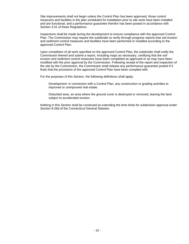Site improvements shall not begin unless the Control Plan has been approved, those control measures and facilities in the plan scheduled for installation prior to site work have been installed and are functional, and a performance guarantee therefor has been posted in accordance with Section 3.01 of these Regulations.

Inspections shall be made during the development to ensure compliance with the approved Control Plan. The Commission may require the subdivider to verify through progress reports that soil erosion and sediment control measures and facilities have been performed or installed according to the approved Control Plan.

Upon completion of all work specified on the approved Control Plan, the subdivider shall notify the Commission thereof and submit a report, including maps as necessary, certifying that the soil erosion and sediment control measures have been completed as approved or as may have been modified with the prior approval by the Commission. Following receipt of the report and inspection of the site by the Commission, the Commission shall release any performance guarantee posted if it finds that the provisions of the approved Control Plan have been complied with.

For the purposes of this Section, the following definitions shall apply:

Development: in connection with a Control Plan, any construction or grading activities to improved or unimproved real estate.

Disturbed area: an area where the ground cover is destroyed or removed, leaving the land subject to accelerated erosion.

Nothing in this Section shall be construed as extending the time limits for subdivision approval under Section 8-26d of the Connecticut General Statutes.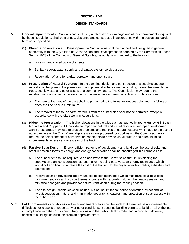#### **SECTION FIVE**

#### **DESIGN STANDARDS**

- <span id="page-19-0"></span>5.01 **General Improvements** – Subdivisions, including related streets, drainage and other improvements required by these Regulations, shall be planned, designed and constructed in accordance with the design standards hereinafter specified.
	- (1) **Plan of Conservation and Development** Subdivisions shall be planned and designed in general conformity with the City's Plan of Conservation and Development as adopted by the Commission under Section 8-23 of the Connecticut General Statutes, particularly with regard to the following:
		- a. Location and classification of streets.
		- b. Sanitary sewer, water supply and drainage system service areas.
		- c. Reservation of land for parks, recreation and open space.
	- (2) **Preservation of Natural Features** In the planning, design and construction of a subdivision, due regard shall be given to the preservation and potential enhancement of existing natural features, large trees, scenic vistas and other assets of a community nature. The Commission may require the establishment of conservation easements to ensure the long-term protection of such resources.
		- a. The natural features of the tract shall be preserved to the fullest extent possible, and the felling of trees shall be held to a minimum.
		- b. The removal of topsoil or earth materials from the subdivision shall not be permitted except in accordance with the City's Zoning Regulations.
	- (3) **Ridgeline Preservation** The higher elevations in the City, such as but not limited to Hurley Hill, South Mountain and Chippens Hill, provide an important natural and visual resource. Improper development within these areas may lead to erosion problems and the loss of natural features which add to the overall attractiveness of the City. When ridgeline areas are proposed for subdivision, the Commission may require the establishment of conservation easements to provide visual buffers and direct building improvements to less sensitive areas of the tract.
	- (4) **Passive Solar Design** Energy-efficient patterns of development and land use, the use of solar and other renewable forms of energy, and energy conservation shall be encouraged in all subdivisions.
		- a. The subdivider shall be required to demonstrate to the Commission that, in developing the subdivision plan, consideration has been given to using passive solar energy techniques which would not significantly increase the cost of the housing to the buyer, after tax credits, subsidies and exemptions.
		- b. Passive solar energy techniques mean site design techniques which maximize solar heat gain, minimize heat loss and provide thermal storage within a building during the heating season and minimize heat gain and provide for natural ventilation during the cooling season.
		- c. The site design techniques shall include, but not be limited to: house orientation; street and lot layout; vegetation; natural and man-made topographic features; and protection of solar access within the subdivision.
- 5.02 **Lot Improvements and Access** The arrangement of lots shall be such that there will be no foreseeable difficulties, for reasons of topography or other conditions, in securing building permits to build on all of the lots in compliance with the City's Zoning Regulations and the Public Health Code, and in providing driveway access to buildings on such lots from an approved street.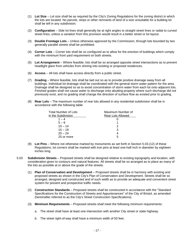- <span id="page-20-0"></span>(1) **Lot Size** – Lot size shall be as required by the City's Zoning Regulations for the zoning district in which the lots are located. No parcels, strips or other remnants of land of a size unsuitable for a building lot shall be left in any subdivision.
- (2) **Configuration** Side lot lines shall generally be at right angles to straight street lines or radial to curved street lines, unless a variation from this provision would result in a better street or lot layout.
- (3) **Double Frontage Lots** Unless otherwise approved by the Commission, through lots bounded by two generally parallel streets shall be prohibited.
- (4) **Corner Lots** Corner lots shall be so configured as to allow for the erection of buildings which comply with the minimum front yard requirement on both streets.
- (5) **Lot Arrangement** Where feasible, lots shall be so arranged opposite street intersections as to prevent headlight glare from vehicles from shining into existing or proposed residences.
- (6) **Access** All lots shall have access directly from a public street.
- (7) **Grading** Where feasible, lots shall be laid out so as to provide positive drainage away from all buildings. Individual lot drainage shall be coordinated with the general storm water pattern for the area. Drainage shall be designed so as to avoid concentration of storm water from each lot onto adjacent lots. Finished grades shall not cause water to discharge onto abutting property where such discharge did not previously exist, and no grading shall change the direction of surface flow as existed prior to grading.
- (8) **Rear Lots** The maximum number of rear lots allowed in any residential subdivision shall be in accordance with the following table:

| Total Number of Lots | Maximum Number of        |  |
|----------------------|--------------------------|--|
| in the Subdivision   | <b>Rear Lots Allowed</b> |  |
| $1 - 4$              |                          |  |
| $5 - 9$              |                          |  |
| $10 - 14$            | 2                        |  |
| $15 - 19$            | 3                        |  |
| $20 - 24$            |                          |  |
| 25 or more           | 5                        |  |

- (9) **Lot Pins** Where not otherwise marked by monuments as set forth in Section 5.03.(12) of these Regulations, lot corners shall be marked with iron pins at least one-half inch in diameter by eighteen inches long.
- 5.03 **Subdivision Streets** Proposed streets shall be designed relative to existing topography and location, with consideration given to contours and natural features. All streets shall be so arranged as to place as many of the lots as possible at or above the grade of the streets.
	- (1) **Plan of Conservation and Development** Proposed streets shall be in harmony with existing and proposed streets as shown in the City's Plan of Conservation and Development. Streets shall be so arranged, designed and constructed and of such width as to provide an adequate and convenient street system for present and prospective traffic needs.
	- (2) **Construction Standards** Proposed streets shall be constructed in accordance with the "Standard Specifications for the Construction of Streets and Appurtenances" of the City of Bristol, as amended (hereinafter referred to as the City's Street Construction Specifications).
	- (3) **Minimum Requirements** Proposed streets shall meet the following minimum requirements:
		- a. The street shall have at least one intersection with another City street or state highway.
		- b. The street right-of-way shall have a minimum width of 50 feet.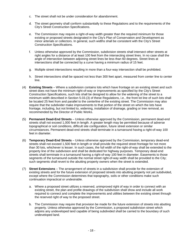- <span id="page-21-0"></span>c. The street shall not be under consideration for abandonment.
- d. The street geometry shall conform substantially to these Regulations and to the requirements of the City's Street Construction Specifications.
- e. The Commission may require a right-of-way width greater than the required minimum for those existing or proposed streets designated in the City's Plan of Conservation and Development as minor arterials or collectors. In general, such widths shall be consistent with the City's Street Construction Specifications.
- f. Unless otherwise approved by the Commission, subdivision streets shall intersect other streets at right angles for a distance of at least 100 feet from the intersecting street lines. In no case shall the angle of intersection between adjoining street lines be less than 60 degrees. Street lines at intersections shall be connected by a curve having a minimum radius of 15 feet.
- g. Multiple street intersections resulting in more than a four-way intersection shall be prohibited.
- h. Street intersections shall be spaced not less than 300 feet apart, measured from center line to center line.
- (4) **Existing Streets** Where a subdivision contains lots which have frontage on an existing street and such street does not have the minimum right-of-way or improvements as specified by the City's Street Construction Specifications, such lots shall be designed to allow for the widening of the street to a minimum width described in Section 5.03.(3) of these Regulations, i.e., the front lot line of such lots shall be located 25 feet from and parallel to the centerline of the existing street. The Commission may also require that the subdivider make improvements to that portion of the street on which the lots have frontage, including, but not limited to, widening, installation of drainage, grading or tree removal, as recommended by the Director of Public Works.
- (5) **Permanent Dead-End Streets** Unless otherwise approved by the Commission, permanent dead-end streets shall not exceed 1,000 feet in length. A greater length may be permitted because of adverse topographical or soil conditions, difficult site configuration, future street extension or similar circumstances. Permanent dead-end streets shall terminate in a turnaround having a right-of-way 100 feet in diameter.
- (6) **Temporary Dead-End Streets** Unless otherwise approved by the Commission, temporary dead-end streets shall not exceed 1,500 feet in length or shall provide the required street frontage for not more than 30 lots, whichever is lesser. In such cases, the full width of the right-of-way shall be extended to the property line of the subdivision and shall be dedicated for highway purposes. Temporary dead-end streets shall terminate in a turnaround having a right-of-way 100 feet in diameter. Easements to those segments of the turnaround outside the normal street right-of-way width shall be provided to the City; such segments shall revert to the abutting property owners when the street is extended.
- (7) **Street Extensions** The arrangement of streets in a subdivision shall provide for the extension of existing streets and for the future extension of proposed streets into abutting property not yet subdivided, except where the Commission determines that topography, soils or other conditions make such continuation impractical or undesirable.
	- a. Where a proposed street utilizes a reserved, unimproved right of way in order to connect with an existing street, the plan and profile drawings of the subdivision shall show and include all work required to connect and complete the improvements and utilities between the existing street through the reserved right of way to the proposed street.
	- b. The Commission may require that provision be made for the future extension of streets into abutting property. Unless otherwise approved by the Commission, a proposed subdivision street which adjoins any undeveloped land capable of being subdivided shall be carried to the boundary of such undeveloped land.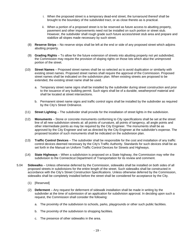- <span id="page-22-0"></span> i. When the proposed street is a temporary dead-end street, the turnaround thereof shall be brought to the boundary of the subdivided tract, or as close thereto as is practical.
- ii. When a portion of a proposed street is to be reserved as future access to abutting property, pavement and other improvements need not be installed on such portion or street stub. However, the subdivider shall rough grade such future access/street stub area and prepare and stabilize all slopes made necessary by such street.
- (8) **Reserve Strips** No reserve strips shall be left at the end or side of any proposed street which adjoins abutting property.
- (9) **Grading Rights** To allow for the future extension of streets into abutting property not yet subdivided, the Commission may require the provision of sloping rights on those lots which abut the unimproved portion of the street.
- (10) **Street Names** Proposed street names shall be so selected as to avoid duplication or similarity with existing street names. Proposed street names shall require the approval of the Commission. Proposed street names shall be indicated on the subdivision plan. When existing streets are proposed to be extended, the existing street name shall be used.
	- a. Temporary street name signs shall be installed by the subdivider during street construction and prior to the issuance of any building permit. Such signs shall be of a durable, weatherproof material and shall be located at street intersections.
	- b. Permanent street name signs and traffic control signs shall be installed by the subdivider as required by the City's Street Ordinance.
- (11) **Street Lighting** The subdivider shall provide for the installation of street lights in the subdivision.
- (12) **Monuments** Stone or concrete monuments conforming to City specifications shall be set at the street line of all new subdivision streets at: all points of curvature, all points of tangency, all angle points and other intermediate points as may be required by the City Engineer. The monuments shall be as approved by the City Engineer and set as directed by the City Engineer at the subdivider's expense. The proposed location of such monuments shall be indicated on the subdivision plan.
- (13) **Traffic Control Devices** The subdivider shall be responsible for the cost and installation of any traffic control devices deemed necessary by the City's Traffic Authority. Standards for such devices shall be as set forth in the Manual on Uniform Traffic Control Devices for Streets and Highways.
- (14) **State Highways** When a subdivision is proposed on a State highway, the Commission may refer the subdivision to the Connecticut Department of Transportation for its review and comment.
- 5.04 **Sidewalks** Unless otherwise deferred by the Commission, sidewalks shall be installed on both sides of all proposed streets in subdivisions for the entire length of the street. Such sidewalks shall be constructed in accordance with the City's Street Construction Specifications. Unless otherwise deferred by the Commission, sidewalks shall be completely installed before the street shall be considered for acceptance by the City.
	- (1) [Reserved]
	- (2) **Deferment** Any request for deferment of sidewalk installation shall be made in writing by the subdivider at the time of submission of an application for subdivision approval. In deciding upon such a request, the Commission shall consider the following:
		- a. The proximity of the subdivision to schools, parks, playgrounds or other such public facilities.
		- b. The proximity of the subdivision to shopping facilities.
		- c. The presence of other sidewalks in the area.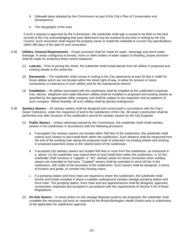- <span id="page-23-0"></span>d. Sidewalk plans adopted by the Commission as part of the City's Plan of Conservation and Development.
- e. The topography of the area.

If such a request is approved by the Commission, the subdivider shall sign a caveat to be filed on the land records of the City acknowledging that such deferment may be revoked at any time in writing by the City Council. Such revocation shall require the property owner to install the sidewalk to current City specifications within 360 days of the date of such revocation.

- 5.05 **Utilities, General Requirements** Proper provision shall be made for water, sewerage and storm water drainage. In areas contiguous to brooks, rivers or other bodies of water subject to flooding, proper provision shall be made for protective flood control measures.
	- (1) **Laterals** Prior to paving the street, the subdivider shall install laterals from all utilities in proposed and existing streets to the street line.
	- (2) **Easements** The subdivider shall convey in writing to the City easements at east 20 feet in width for those utilities which are not located within the street right-of-way, to allow for present or future connections or extensions of such utilities and for the maintenance thereof.
	- (3) **Installation** All utilities associated with the subdivision shall be installed at the subdivider's expense. Gas, electric, telephone and cable television utilities shall be installed in proposed and existing streets as specified by the appropriate utility company and shall be subject to the inspection and acceptance of such company. Where feasible, all such utilities shall be placed underground.
- 5.06 **Sanitary Sewers** All sanitary sewers shall be designed and constructed in accordance with the City's Sewer Ordinance, under the inspection of and to the satisfaction of the City. All sewer construction shall be performed only after issuance of the subdivider's permit for sanitary sewers by the City Engineer.
	- (1) **Public Sewers** Unless otherwise waived by the Commission, the subdivider shall install sanitary sewers in the subdivision in accordance with the following provisions:
		- a. If accepted City sanitary sewers are located within 500 feet of the subdivision, the subdivider shall extend such sewers to and install them within the subdivision. Such distance shall be measured from the end of the existing main along the proposed route of extension via existing streets and existing or proposed easement areas to the nearest point of the subdivision.
		- b. If accepted City sanitary sewers are located 500 feet or more from the subdivision, as measured in a. above: (1) the subdivider may extend them to and install them within the subdivision, or (2) the subdivider shall construct a "capped" or "dry" sanitary sewer for future connection when sanitary sewers are extended to that area. "Capped" sewers shall be extended to serve all lots in the subdivision, with outlet at the boundary of the subdivision. Such sewers shall be designed, in terms of location and grade, to connect into existing mains.
		- c. If a pumping station and force main are required to sewer the subdivision, the subdivider shall furnish and install complete in place a suitable underground sanitary sewage pumping station and force main. The pumping station, force main and any appurtenances shall be designed, approved, constructed, inspected and accepted in accordance with the requirements of Section 5.05 of these Regulations.
	- (2) **On-Site Sewers** In areas where on-site sewage disposal systems are proposed, the subdivider shall complete the necessary soil tests as required by the Bristol-Burlington Health District prior to submission of the application for subdivision approval.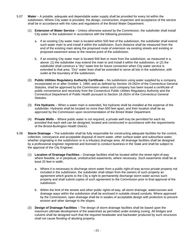- <span id="page-24-0"></span>5.07 **Water** – A potable, adequate and dependable water supply shall be provided for every lot within the subdivision. Where City water is provided, the design, construction, inspection and acceptance of the service shall be in accordance with the rules and regulations of the Bristol Water Department.
	- (1) **Extension of Water Service** Unless otherwise waived by the Commission, the subdivider shall install City water in the subdivision in accordance with the following provisions:
		- a. If an existing City water main is located within 500 feet of the subdivision, the subdivider shall extend such water main to and install it within the subdivision. Such distance shall be measured from the end of the existing main along the proposed route of extension via existing streets and existing or proposed easement areas to the nearest point of the subdivision.
		- b. If an existing City water main is located 500 feet or more from the subdivision, as measured in a. above: (1) the subdivider may extend the main to and install it within the subdivision, or (2) the subdivider shall construct a "dry" water line for future connection when City water service is extended to that area. "Dry" water lines shall be extended to serve all lots in the subdivision, with outlet at the boundary of the subdivision.
	- (2) **Public Utilities Regulatory Authority Certificate**  No subdivision using water supplied by a company incorporated on or after October 1, 1984, and as defined by Section 16-262m of the Connecticut General Statutes, shall be approved by the Commission unless such company has been issued a certificate of public convenience and necessity from the Connecticut Public Utilities Regulatory Authority and the Connecticut Department of Public Health pursuant to Section 16-262m of the Connecticut General Statutes.
	- (3) **Fire Hydrants** When a water main is extended, fire hydrants shall be installed at the expense of the subdivider. Hydrants shall be located no more than 500 feet apart, and their location shall be as approved by the Commission upon recommendation of the Bristol Water Department.
	- (4) **Private Wells** Where public water is not required, a private well may be permitted for each lot, provided that each well can be designed, located and constructed in accordance with the requirements of the Bristol-Burlington Health District.
- 5.08 **Storm Drainage** The subdivider shall be fully responsible for constructing adequate facilities for the control, collection, conveyance and acceptable disposal of storm water, other surface water and subsurface water, whether originating in the subdivision or in a tributary drainage area. All drainage facilities shall be designed by a professional engineer registered and licensed to conduct business in the State and shall be subject to the approval of the City Engineer.
	- (1) **Location of Drainage Facilities** Drainage facilities shall be located within the street right-of-way where feasible, or in perpetual, unobstructed easements, where necessary. Such easements shall be at least 20 feet in width.
		- a. Where it is necessary to discharge storm water from a public right-of-way across private property not included in the subdivision, the subdivider shall obtain from the owners of such property an agreement which grants to the City a right to permanently discharge storm water across such property and shall submit copies of such agreement to the Commission prior to final approval of the subdivision.
		- b. Within the limit of the streets and other public rights-of-way, all storm drainage, watercourses and drainage ways within the subdivision shall be enclosed in suitable closed conduits. Where approved by the Commission, open drainage shall be in swales of acceptable design with protection to prevent erosion and other damage to the slopes.
	- (2) **Design of Drainage Facilities** The design of storm drainage facilities shall be based upon the maximum ultimate development of the watershed as permitted under existing zoning. All bridges and culverts shall be designed such that the required headwater and backwater produced by such structures shall not cause flooding of abutting property.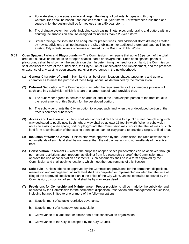- <span id="page-25-0"></span>a. For watersheds one square mile and larger, the design of culverts, bridges and through watercourses shall be based upon not less than a 100-year storm. For watersheds less than one square mile, the design shall be for not less than a 50-year storm.
- b. The drainage system for roads, including catch basins, inlets, pipe, underdrains and gutters within or abutting the subdivision shall be designed for not less than a 25-year storm.
- c. Storm drainage facilities shall be adequate for present uses, and additional storm drainage created by new subdivisions shall not increase the City's obligation for additional storm drainage facilities on existing City streets, unless otherwise approved by the Board of Public Works.
- 5.09 **Open Spaces, Parks and Playgrounds** –– The Commission may require that up to 15 percent of the total area of a subdivision be set aside for open spaces, parks or playgrounds. Such open spaces, parks or playgrounds shall be shown on the subdivision plan. In determining the need for such land, the Commission shall consider the size of the subdivision, the City's Plan of Conservation and Development, and the presence or absence of any existing open spaces, parks or playgrounds in the neighborhood.
	- (1) **General Character of Land** Such land shall be of such location, shape, topography and general character as to meet the purpose of these Regulations, as determined by the Commission.
	- (2) **Deferred Dedication** The Commission may defer the requirements for the immediate provision of such land in a subdivision which is a part of a larger tract of land, provided that:
		- a. The subdivider agrees to dedicate an area of land in the undeveloped portion of the tract equal to the requirements of this Section for the developed portion.
		- b. The subdivider grants the City an option to accept such land when the undeveloped portion of the tract is hereafter subdivided.
	- (3) **Access and Location** Such land shall abut or have direct access to a public street through a right-ofway dedicated to public use. Such right-of-way shall be at least 15 feet in width. When a subdivision abuts an existing open space, park or playground, the Commission may require that the lot lines of such land form a continuation of the existing open space, park or playground to provide a single, unified area.
	- (4) **Inclusion of Wetland Areas** Unless otherwise approved by the Commission, the ratio of wetlands to non-wetlands of such land shall be no greater than the ratio of wetlands to non-wetlands of the entire tract.
	- (5) **Conservation Easements** Where the purposes of open space preservation can be achieved through permanent restrictions upon property, as distinct from fee ownership thereof, the Commission may approve the use of conservation easements. Such easements shall be in a form approved by the Commission and shall apply to locations which meet the requirements of this Section.
	- (6) **Schedule**  Unless otherwise approved by the Commission, provisions for the permanent disposition, reservation and management of such land shall be completed or implemented no later than the time of filing of the approved subdivision plan in the office of the City Clerk. Unless otherwise approved by the Commission, disposition of such land shall be by warrantee deed.
	- (7) **Provisions for Ownership and Maintenance** Proper provision shall be made by the subdivider and approved by the Commission for the permanent disposition, reservation and management of such land, including but not limited to one or more of the following options:
		- a. Establishment of suitable restrictive covenants.
		- b. Establishment of a homeowners' association.
		- c. Conveyance to a land trust or similar non-profit conservation organization.
		- d. Conveyance to the City, if accepted by the City Council.